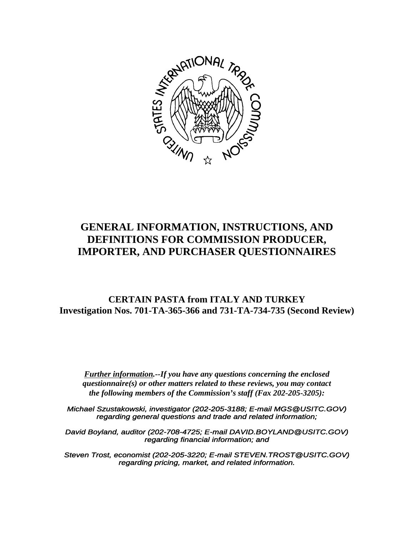

# **GENERAL INFORMATION, INSTRUCTIONS, AND DEFINITIONS FOR COMMISSION PRODUCER, IMPORTER, AND PURCHASER QUESTIONNAIRES**

## **CERTAIN PASTA from ITALY AND TURKEY Investigation Nos. 701-TA-365-366 and 731-TA-734-735 (Second Review)**

*Further information.--If you have any questions concerning the enclosed questionnaire(s) or other matters related to these reviews, you may contact the following members of the Commission's staff (Fax 202-205-3205):*

*Michael Szustakowski, investigator (202-205-3188; E-mail MGS@USITC.GOV) regarding general questions and trade and related information;*

*David Boyland, auditor (202-708-4725; E-mail DAVID.BOYLAND@USITC.GOV) regarding financial information; and*

*Steven Trost, economist (202-205-3220; E-mail STEVEN.TROST@USITC.GOV) regarding pricing, market, and related information.*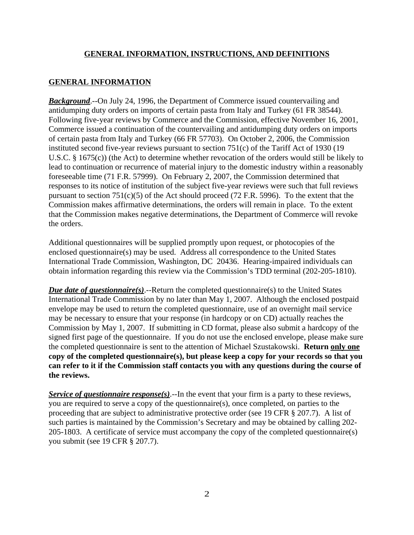#### **GENERAL INFORMATION**

*Background*.--On July 24, 1996, the Department of Commerce issued countervailing and antidumping duty orders on imports of certain pasta from Italy and Turkey (61 FR 38544). Following five-year reviews by Commerce and the Commission, effective November 16, 2001, Commerce issued a continuation of the countervailing and antidumping duty orders on imports of certain pasta from Italy and Turkey (66 FR 57703). On October 2, 2006, the Commission instituted second five-year reviews pursuant to section 751(c) of the Tariff Act of 1930 (19 U.S.C. § 1675(c)) (the Act) to determine whether revocation of the orders would still be likely to lead to continuation or recurrence of material injury to the domestic industry within a reasonably foreseeable time (71 F.R. 57999). On February 2, 2007, the Commission determined that responses to its notice of institution of the subject five-year reviews were such that full reviews pursuant to section  $751(c)(5)$  of the Act should proceed (72 F.R. 5996). To the extent that the Commission makes affirmative determinations, the orders will remain in place. To the extent that the Commission makes negative determinations, the Department of Commerce will revoke the orders.

Additional questionnaires will be supplied promptly upon request, or photocopies of the enclosed questionnaire(s) may be used. Address all correspondence to the United States International Trade Commission, Washington, DC 20436. Hearing-impaired individuals can obtain information regarding this review via the Commission's TDD terminal (202-205-1810).

*Due date of questionnaire(s)*.--Return the completed questionnaire(s) to the United States International Trade Commission by no later than May 1, 2007. Although the enclosed postpaid envelope may be used to return the completed questionnaire, use of an overnight mail service may be necessary to ensure that your response (in hardcopy or on CD) actually reaches the Commission by May 1, 2007. If submitting in CD format, please also submit a hardcopy of the signed first page of the questionnaire. If you do not use the enclosed envelope, please make sure the completed questionnaire is sent to the attention of Michael Szustakowski. **Return only one copy of the completed questionnaire(s), but please keep a copy for your records so that you can refer to it if the Commission staff contacts you with any questions during the course of the reviews.**

*Service of questionnaire response(s).*--In the event that your firm is a party to these reviews, you are required to serve a copy of the questionnaire(s), once completed, on parties to the proceeding that are subject to administrative protective order (see 19 CFR § 207.7). A list of such parties is maintained by the Commission's Secretary and may be obtained by calling 202- 205-1803. A certificate of service must accompany the copy of the completed questionnaire(s) you submit (see 19 CFR § 207.7).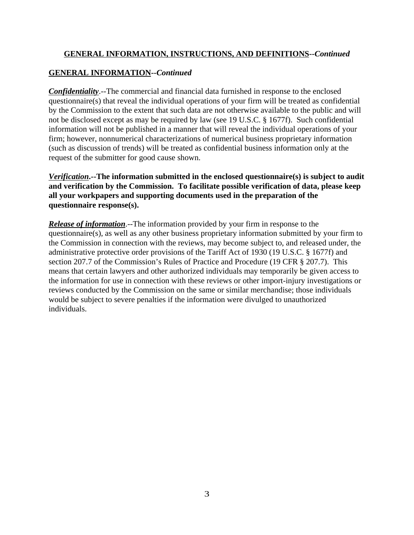## **GENERAL INFORMATION--***Continued*

*Confidentiality*.--The commercial and financial data furnished in response to the enclosed questionnaire(s) that reveal the individual operations of your firm will be treated as confidential by the Commission to the extent that such data are not otherwise available to the public and will not be disclosed except as may be required by law (see 19 U.S.C. § 1677f). Such confidential information will not be published in a manner that will reveal the individual operations of your firm; however, nonnumerical characterizations of numerical business proprietary information (such as discussion of trends) will be treated as confidential business information only at the request of the submitter for good cause shown.

*Verification***.--The information submitted in the enclosed questionnaire(s) is subject to audit and verification by the Commission. To facilitate possible verification of data, please keep all your workpapers and supporting documents used in the preparation of the questionnaire response(s).**

*Release of information*.--The information provided by your firm in response to the questionnaire(s), as well as any other business proprietary information submitted by your firm to the Commission in connection with the reviews, may become subject to, and released under, the administrative protective order provisions of the Tariff Act of 1930 (19 U.S.C. § 1677f) and section 207.7 of the Commission's Rules of Practice and Procedure (19 CFR § 207.7). This means that certain lawyers and other authorized individuals may temporarily be given access to the information for use in connection with these reviews or other import-injury investigations or reviews conducted by the Commission on the same or similar merchandise; those individuals would be subject to severe penalties if the information were divulged to unauthorized individuals.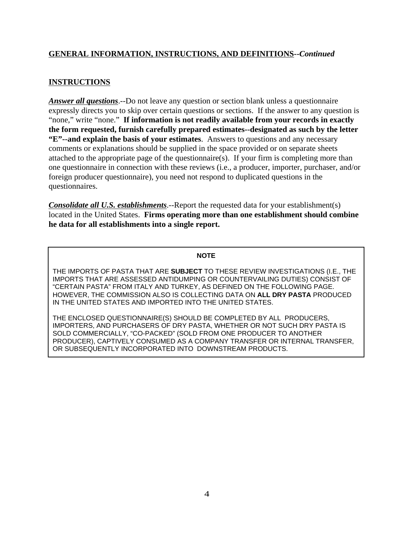## **INSTRUCTIONS**

*Answer all questions*.--Do not leave any question or section blank unless a questionnaire expressly directs you to skip over certain questions or sections. If the answer to any question is "none," write "none." **If information is not readily available from your records in exactly the form requested, furnish carefully prepared estimates--designated as such by the letter "E"--and explain the basis of your estimates**. Answers to questions and any necessary comments or explanations should be supplied in the space provided or on separate sheets attached to the appropriate page of the questionnaire(s). If your firm is completing more than one questionnaire in connection with these reviews (i.e., a producer, importer, purchaser, and/or foreign producer questionnaire), you need not respond to duplicated questions in the questionnaires.

*Consolidate all U.S. establishments*.--Report the requested data for your establishment(s) located in the United States. **Firms operating more than one establishment should combine he data for all establishments into a single report.**

#### **NOTE**

THE IMPORTS OF PASTA THAT ARE **SUBJECT** TO THESE REVIEW INVESTIGATIONS (I.E., THE IMPORTS THAT ARE ASSESSED ANTIDUMPING OR COUNTERVAILING DUTIES) CONSIST OF "CERTAIN PASTA" FROM ITALY AND TURKEY, AS DEFINED ON THE FOLLOWING PAGE. HOWEVER, THE COMMISSION ALSO IS COLLECTING DATA ON **ALL DRY PASTA** PRODUCED IN THE UNITED STATES AND IMPORTED INTO THE UNITED STATES.

THE ENCLOSED QUESTIONNAIRE(S) SHOULD BE COMPLETED BY ALL PRODUCERS, IMPORTERS, AND PURCHASERS OF DRY PASTA, WHETHER OR NOT SUCH DRY PASTA IS SOLD COMMERCIALLY, "CO-PACKED" (SOLD FROM ONE PRODUCER TO ANOTHER PRODUCER), CAPTIVELY CONSUMED AS A COMPANY TRANSFER OR INTERNAL TRANSFER, OR SUBSEQUENTLY INCORPORATED INTO DOWNSTREAM PRODUCTS.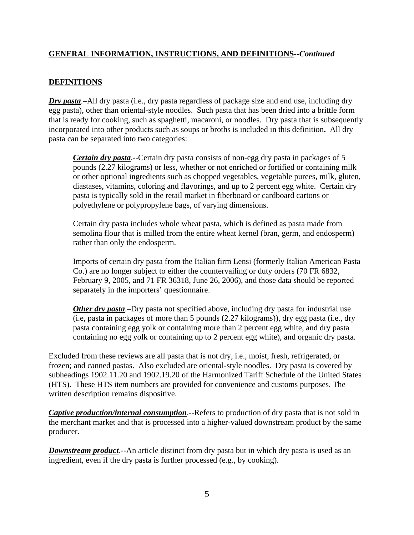## **DEFINITIONS**

*Dry pasta*.–All dry pasta (i.e., dry pasta regardless of package size and end use, including dry egg pasta), other than oriental-style noodles. Such pasta that has been dried into a brittle form that is ready for cooking, such as spaghetti, macaroni, or noodles. Dry pasta that is subsequently incorporated into other products such as soups or broths is included in this definition**.** All dry pasta can be separated into two categories:

*Certain dry pasta*.--Certain dry pasta consists of non-egg dry pasta in packages of 5 pounds (2.27 kilograms) or less, whether or not enriched or fortified or containing milk or other optional ingredients such as chopped vegetables, vegetable purees, milk, gluten, diastases, vitamins, coloring and flavorings, and up to 2 percent egg white. Certain dry pasta is typically sold in the retail market in fiberboard or cardboard cartons or polyethylene or polypropylene bags, of varying dimensions.

Certain dry pasta includes whole wheat pasta, which is defined as pasta made from semolina flour that is milled from the entire wheat kernel (bran, germ, and endosperm) rather than only the endosperm.

Imports of certain dry pasta from the Italian firm Lensi (formerly Italian American Pasta Co.) are no longer subject to either the countervailing or duty orders (70 FR 6832, February 9, 2005, and 71 FR 36318, June 26, 2006), and those data should be reported separately in the importers' questionnaire.

*Other dry pasta*.–Dry pasta not specified above, including dry pasta for industrial use (i.e, pasta in packages of more than 5 pounds (2.27 kilograms)), dry egg pasta (i.e., dry pasta containing egg yolk or containing more than 2 percent egg white, and dry pasta containing no egg yolk or containing up to 2 percent egg white), and organic dry pasta.

Excluded from these reviews are all pasta that is not dry, i.e., moist, fresh, refrigerated, or frozen; and canned pastas. Also excluded are oriental-style noodles. Dry pasta is covered by subheadings 1902.11.20 and 1902.19.20 of the Harmonized Tariff Schedule of the United States (HTS). These HTS item numbers are provided for convenience and customs purposes. The written description remains dispositive.

*Captive production/internal consumption*.--Refers to production of dry pasta that is not sold in the merchant market and that is processed into a higher-valued downstream product by the same producer.

*Downstream product*.--An article distinct from dry pasta but in which dry pasta is used as an ingredient, even if the dry pasta is further processed (e.g., by cooking).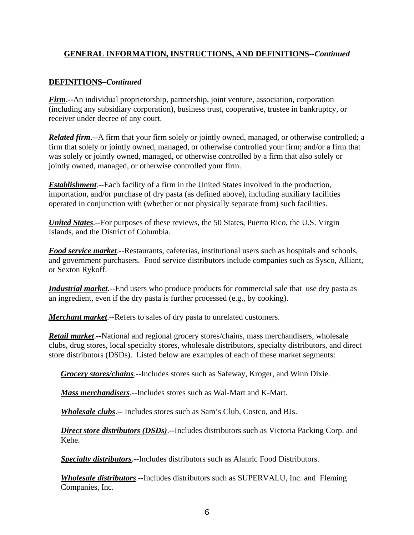## **DEFINITIONS–***Continued*

*Firm*.--An individual proprietorship, partnership, joint venture, association, corporation (including any subsidiary corporation), business trust, cooperative, trustee in bankruptcy, or receiver under decree of any court.

*Related firm*.--A firm that your firm solely or jointly owned, managed, or otherwise controlled; a firm that solely or jointly owned, managed, or otherwise controlled your firm; and/or a firm that was solely or jointly owned, managed, or otherwise controlled by a firm that also solely or jointly owned, managed, or otherwise controlled your firm.

*Establishment*.--Each facility of a firm in the United States involved in the production, importation, and/or purchase of dry pasta (as defined above), including auxiliary facilities operated in conjunction with (whether or not physically separate from) such facilities.

*United States*.--For purposes of these reviews, the 50 States, Puerto Rico, the U.S. Virgin Islands, and the District of Columbia.

*Food service market*.--Restaurants, cafeterias, institutional users such as hospitals and schools, and government purchasers. Food service distributors include companies such as Sysco, Alliant, or Sexton Rykoff.

*Industrial market*.--End users who produce products for commercial sale that use dry pasta as an ingredient, even if the dry pasta is further processed (e.g., by cooking).

*Merchant market*.--Refers to sales of dry pasta to unrelated customers.

*Retail market*.--National and regional grocery stores/chains, mass merchandisers, wholesale clubs, drug stores, local specialty stores, wholesale distributors, specialty distributors, and direct store distributors (DSDs). Listed below are examples of each of these market segments:

*Grocery stores/chains*.--Includes stores such as Safeway, Kroger, and Winn Dixie.

*Mass merchandisers*.--Includes stores such as Wal-Mart and K-Mart.

*Wholesale clubs*.-- Includes stores such as Sam's Club, Costco, and BJs.

*Direct store distributors (DSDs)*.--Includes distributors such as Victoria Packing Corp. and Kehe.

*Specialty distributors*.--Includes distributors such as Alanric Food Distributors.

*Wholesale distributors*.--Includes distributors such as SUPERVALU, Inc. and Fleming Companies, Inc.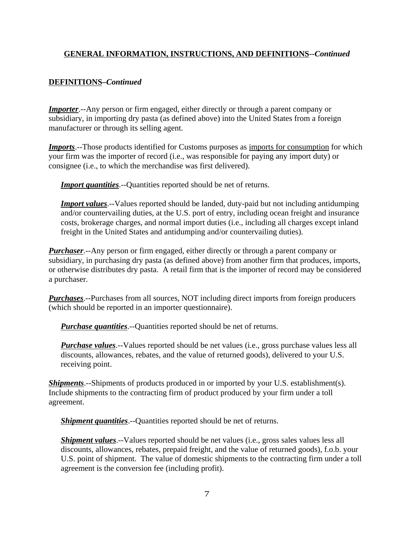## **DEFINITIONS–***Continued*

*Importer.*--Any person or firm engaged, either directly or through a parent company or subsidiary, in importing dry pasta (as defined above) into the United States from a foreign manufacturer or through its selling agent.

*Imports*.--Those products identified for Customs purposes as imports for consumption for which your firm was the importer of record (i.e., was responsible for paying any import duty) or consignee (i.e., to which the merchandise was first delivered).

**Import quantities**.--Quantities reported should be net of returns.

*Import values*.--Values reported should be landed, duty-paid but not including antidumping and/or countervailing duties, at the U.S. port of entry, including ocean freight and insurance costs, brokerage charges, and normal import duties (i.e., including all charges except inland freight in the United States and antidumping and/or countervailing duties).

*Purchaser*.--Any person or firm engaged, either directly or through a parent company or subsidiary, in purchasing dry pasta (as defined above) from another firm that produces, imports, or otherwise distributes dry pasta. A retail firm that is the importer of record may be considered a purchaser.

*Purchases*.--Purchases from all sources, NOT including direct imports from foreign producers (which should be reported in an importer questionnaire).

*Purchase quantities*.--Quantities reported should be net of returns.

*Purchase values*.--Values reported should be net values (i.e., gross purchase values less all discounts, allowances, rebates, and the value of returned goods), delivered to your U.S. receiving point.

*Shipments*.--Shipments of products produced in or imported by your U.S. establishment(s). Include shipments to the contracting firm of product produced by your firm under a toll agreement.

*Shipment quantities*.--Quantities reported should be net of returns.

*Shipment values*.--Values reported should be net values (i.e., gross sales values less all discounts, allowances, rebates, prepaid freight, and the value of returned goods), f.o.b. your U.S. point of shipment. The value of domestic shipments to the contracting firm under a toll agreement is the conversion fee (including profit).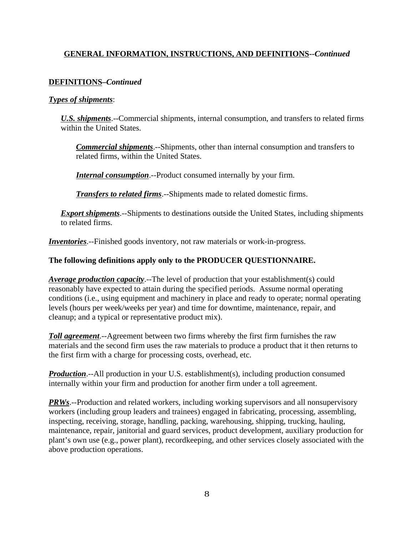#### **DEFINITIONS–***Continued*

#### *Types of shipments*:

*U.S. shipments*.--Commercial shipments, internal consumption, and transfers to related firms within the United States.

*Commercial shipments*.--Shipments, other than internal consumption and transfers to related firms, within the United States.

*Internal consumption*.--Product consumed internally by your firm.

*Transfers to related firms*.--Shipments made to related domestic firms.

*Export shipments*.--Shipments to destinations outside the United States, including shipments to related firms.

*Inventories*.--Finished goods inventory, not raw materials or work-in-progress.

#### **The following definitions apply only to the PRODUCER QUESTIONNAIRE.**

*Average production capacity*.--The level of production that your establishment(s) could reasonably have expected to attain during the specified periods. Assume normal operating conditions (i.e., using equipment and machinery in place and ready to operate; normal operating levels (hours per week/weeks per year) and time for downtime, maintenance, repair, and cleanup; and a typical or representative product mix).

*Toll agreement*.--Agreement between two firms whereby the first firm furnishes the raw materials and the second firm uses the raw materials to produce a product that it then returns to the first firm with a charge for processing costs, overhead, etc.

*Production*.--All production in your U.S. establishment(s), including production consumed internally within your firm and production for another firm under a toll agreement.

*PRWs*.--Production and related workers, including working supervisors and all nonsupervisory workers (including group leaders and trainees) engaged in fabricating, processing, assembling, inspecting, receiving, storage, handling, packing, warehousing, shipping, trucking, hauling, maintenance, repair, janitorial and guard services, product development, auxiliary production for plant's own use (e.g., power plant), recordkeeping, and other services closely associated with the above production operations.